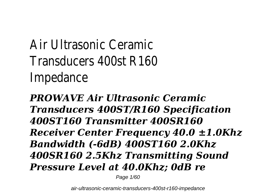# Air Ultrasonic Ceramic Transducers 400st R160 Impedance

*PROWAVE Air Ultrasonic Ceramic Transducers 400ST/R160 Specification 400ST160 Transmitter 400SR160 Receiver Center Frequency 40.0 ±1.0Khz Bandwidth (-6dB) 400ST160 2.0Khz 400SR160 2.5Khz Transmitting Sound Pressure Level at 40.0Khz; 0dB re*

Page 1/60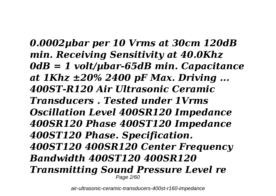*0.0002µbar per 10 Vrms at 30cm 120dB min. Receiving Sensitivity at 40.0Khz 0dB = 1 volt/µbar-65dB min. Capacitance at 1Khz ±20% 2400 pF Max. Driving ... 400ST-R120 Air Ultrasonic Ceramic Transducers . Tested under 1Vrms Oscillation Level 400SR120 Impedance 400SR120 Phase 400ST120 Impedance 400ST120 Phase. Specification. 400ST120 400SR120 Center Frequency Bandwidth 400ST120 400SR120 Transmitting Sound Pressure Level re* Page 2/60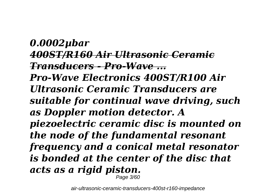*0.0002µbar 400ST/R160 Air Ultrasonic Ceramic Transducers - Pro-Wave ... Pro-Wave Electronics 400ST/R100 Air Ultrasonic Ceramic Transducers are suitable for continual wave driving, such as Doppler motion detector. A piezoelectric ceramic disc is mounted on the node of the fundamental resonant frequency and a conical metal resonator is bonded at the center of the disc that acts as a rigid piston.* Page 3/60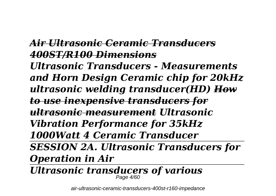### *Air Ultrasonic Ceramic Transducers 400ST/R100 Dimensions*

*Ultrasonic Transducers - Measurements and Horn Design Ceramic chip for 20kHz ultrasonic welding transducer(HD) How to use inexpensive transducers for ultrasonic measurement Ultrasonic Vibration Performance for 35kHz 1000Watt 4 Ceramic Transducer SESSION 2A. Ultrasonic Transducers for Operation in Air*

*Ultrasonic transducers of various* Page 4/60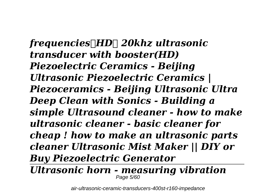*frequencies(HD) 20khz ultrasonic transducer with booster(HD) Piezoelectric Ceramics - Beijing Ultrasonic Piezoelectric Ceramics | Piezoceramics - Beijing Ultrasonic Ultra Deep Clean with Sonics - Building a simple Ultrasound cleaner - how to make ultrasonic cleaner - basic cleaner for cheap ! how to make an ultrasonic parts cleaner Ultrasonic Mist Maker || DIY or Buy Piezoelectric Generator*

*Ultrasonic horn - measuring vibration* Page 5/60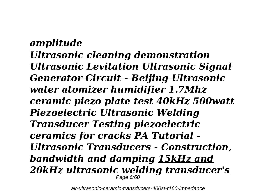### *amplitude*

*Ultrasonic cleaning demonstration Ultrasonic Levitation Ultrasonic Signal Generator Circuit - Beijing Ultrasonic water atomizer humidifier 1.7Mhz ceramic piezo plate test 40kHz 500watt Piezoelectric Ultrasonic Welding Transducer Testing piezoelectric ceramics for cracks PA Tutorial - Ultrasonic Transducers - Construction, bandwidth and damping 15kHz and 20kHz ultrasonic welding transducer's* Page 6/60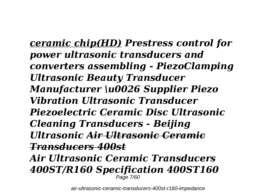*ceramic chip(HD) Prestress control for power ultrasonic transducers and converters assembling - PiezoClamping Ultrasonic Beauty Transducer Manufacturer \u0026 Supplier Piezo Vibration Ultrasonic Transducer Piezoelectric Ceramic Disc Ultrasonic Cleaning Transducers - Beijing Ultrasonic Air Ultrasonic Ceramic Transducers 400st Air Ultrasonic Ceramic Transducers 400ST/R160 Specification 400ST160* Page 7/60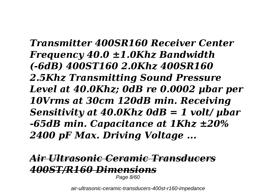*Transmitter 400SR160 Receiver Center Frequency 40.0 ±1.0Khz Bandwidth (-6dB) 400ST160 2.0Khz 400SR160 2.5Khz Transmitting Sound Pressure Level at 40.0Khz; 0dB re 0.0002 µbar per 10Vrms at 30cm 120dB min. Receiving Sensitivity at 40.0Khz 0dB = 1 volt/ µbar -65dB min. Capacitance at 1Khz ±20% 2400 pF Max. Driving Voltage ...*

### *Air Ultrasonic Ceramic Transducers 400ST/R160 Dimensions*

Page 8/60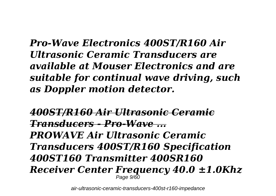*Pro-Wave Electronics 400ST/R160 Air Ultrasonic Ceramic Transducers are available at Mouser Electronics and are suitable for continual wave driving, such as Doppler motion detector.*

*400ST/R160 Air Ultrasonic Ceramic Transducers - Pro-Wave ... PROWAVE Air Ultrasonic Ceramic Transducers 400ST/R160 Specification 400ST160 Transmitter 400SR160 Receiver Center Frequency 40.0 ±1.0Khz* Page 9/60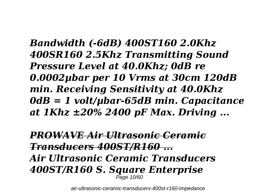*Bandwidth (-6dB) 400ST160 2.0Khz 400SR160 2.5Khz Transmitting Sound Pressure Level at 40.0Khz; 0dB re 0.0002µbar per 10 Vrms at 30cm 120dB min. Receiving Sensitivity at 40.0Khz 0dB = 1 volt/µbar-65dB min. Capacitance at 1Khz ±20% 2400 pF Max. Driving ...*

*PROWAVE Air Ultrasonic Ceramic Transducers 400ST/R160 ... Air Ultrasonic Ceramic Transducers 400ST/R160 S. Square Enterprise* Page 10/60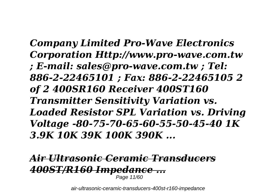*Company Limited Pro-Wave Electronics Corporation Http://www.pro-wave.com.tw ; E-mail: sales@pro-wave.com.tw ; Tel: 886-2-22465101 ; Fax: 886-2-22465105 2 of 2 400SR160 Receiver 400ST160 Transmitter Sensitivity Variation vs. Loaded Resistor SPL Variation vs. Driving Voltage -80-75-70-65-60-55-50-45-40 1K 3.9K 10K 39K 100K 390K ...*

## *Air Ultrasonic Ceramic Transducers 400ST/R160 Impedance ...*

Page 11/60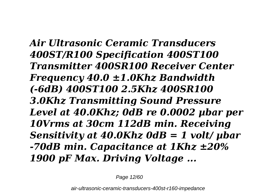*Air Ultrasonic Ceramic Transducers 400ST/R100 Specification 400ST100 Transmitter 400SR100 Receiver Center Frequency 40.0 ±1.0Khz Bandwidth (-6dB) 400ST100 2.5Khz 400SR100 3.0Khz Transmitting Sound Pressure Level at 40.0Khz; 0dB re 0.0002 µbar per 10Vrms at 30cm 112dB min. Receiving Sensitivity at 40.0Khz 0dB = 1 volt/ µbar -70dB min. Capacitance at 1Khz ±20% 1900 pF Max. Driving Voltage ...*

Page 12/60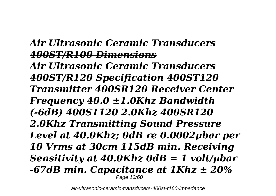### *Air Ultrasonic Ceramic Transducers 400ST/R100 Dimensions*

*Air Ultrasonic Ceramic Transducers 400ST/R120 Specification 400ST120 Transmitter 400SR120 Receiver Center Frequency 40.0 ±1.0Khz Bandwidth (-6dB) 400ST120 2.0Khz 400SR120 2.0Khz Transmitting Sound Pressure Level at 40.0Khz; 0dB re 0.0002µbar per 10 Vrms at 30cm 115dB min. Receiving Sensitivity at 40.0Khz 0dB = 1 volt/µbar -67dB min. Capacitance at 1Khz ± 20%* Page 13/60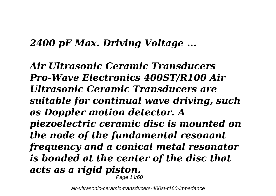### *2400 pF Max. Driving Voltage ...*

*Air Ultrasonic Ceramic Transducers Pro-Wave Electronics 400ST/R100 Air Ultrasonic Ceramic Transducers are suitable for continual wave driving, such as Doppler motion detector. A piezoelectric ceramic disc is mounted on the node of the fundamental resonant frequency and a conical metal resonator is bonded at the center of the disc that acts as a rigid piston.* Page 14/60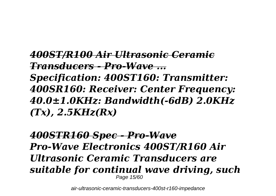*400ST/R100 Air Ultrasonic Ceramic Transducers - Pro-Wave ... Specification: 400ST160: Transmitter: 400SR160: Receiver: Center Frequency: 40.0±1.0KHz: Bandwidth(-6dB) 2.0KHz (Tx), 2.5KHz(Rx)*

*400STR160 Spec - Pro-Wave Pro-Wave Electronics 400ST/R160 Air Ultrasonic Ceramic Transducers are suitable for continual wave driving, such* Page 15/60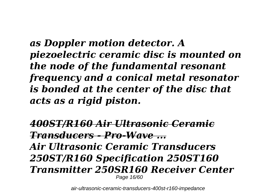*as Doppler motion detector. A piezoelectric ceramic disc is mounted on the node of the fundamental resonant frequency and a conical metal resonator is bonded at the center of the disc that acts as a rigid piston.*

*400ST/R160 Air Ultrasonic Ceramic Transducers - Pro-Wave ... Air Ultrasonic Ceramic Transducers 250ST/R160 Specification 250ST160 Transmitter 250SR160 Receiver Center* Page 16/60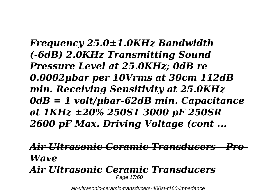*Frequency 25.0±1.0KHz Bandwidth (-6dB) 2.0KHz Transmitting Sound Pressure Level at 25.0KHz; 0dB re 0.0002μbar per 10Vrms at 30cm 112dB min. Receiving Sensitivity at 25.0KHz 0dB = 1 volt/μbar-62dB min. Capacitance at 1KHz ±20% 250ST 3000 pF 250SR 2600 pF Max. Driving Voltage (cont ...*

*Air Ultrasonic Ceramic Transducers - Pro-Wave*

*Air Ultrasonic Ceramic Transducers* Page 17/60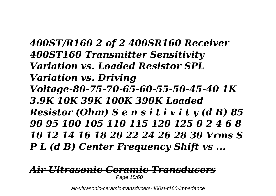*400ST/R160 2 of 2 400SR160 Receiver 400ST160 Transmitter Sensitivity Variation vs. Loaded Resistor SPL Variation vs. Driving Voltage-80-75-70-65-60-55-50-45-40 1K 3.9K 10K 39K 100K 390K Loaded Resistor (Ohm) S e n s i t i v i t y (d B) 85 90 95 100 105 110 115 120 125 0 2 4 6 8 10 12 14 16 18 20 22 24 26 28 30 Vrms S P L (d B) Center Frequency Shift vs ...*

#### *Air Ultrasonic Ceramic Transducers* Page 18/60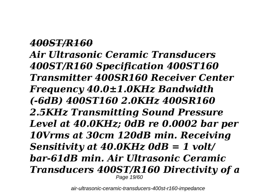*400ST/R160 Air Ultrasonic Ceramic Transducers 400ST/R160 Specification 400ST160 Transmitter 400SR160 Receiver Center Frequency 40.0±1.0KHz Bandwidth (-6dB) 400ST160 2.0KHz 400SR160 2.5KHz Transmitting Sound Pressure Level at 40.0KHz; 0dB re 0.0002 bar per 10Vrms at 30cm 120dB min. Receiving Sensitivity at 40.0KHz 0dB = 1 volt/ bar-61dB min. Air Ultrasonic Ceramic Transducers 400ST/R160 Directivity of a* Page 19/60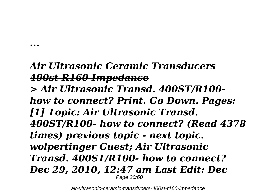*...*

### *Air Ultrasonic Ceramic Transducers 400st R160 Impedance*

*> Air Ultrasonic Transd. 400ST/R100 how to connect? Print. Go Down. Pages: [1] Topic: Air Ultrasonic Transd. 400ST/R100- how to connect? (Read 4378 times) previous topic - next topic. wolpertinger Guest; Air Ultrasonic Transd. 400ST/R100- how to connect? Dec 29, 2010, 12:47 am Last Edit: Dec* Page 20/60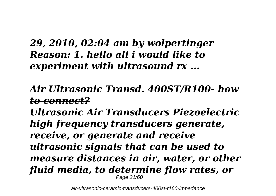### *29, 2010, 02:04 am by wolpertinger Reason: 1. hello all i would like to experiment with ultrasound rx ...*

### *Air Ultrasonic Transd. 400ST/R100- how to connect?*

*Ultrasonic Air Transducers Piezoelectric high frequency transducers generate, receive, or generate and receive ultrasonic signals that can be used to measure distances in air, water, or other fluid media, to determine flow rates, or* Page 21/60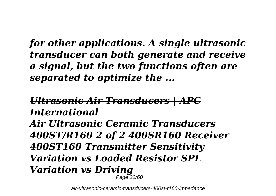*for other applications. A single ultrasonic transducer can both generate and receive a signal, but the two functions often are separated to optimize the ...*

*Ultrasonic Air Transducers | APC International Air Ultrasonic Ceramic Transducers 400ST/R160 2 of 2 400SR160 Receiver 400ST160 Transmitter Sensitivity Variation vs Loaded Resistor SPL Variation vs Driving* Page 22/60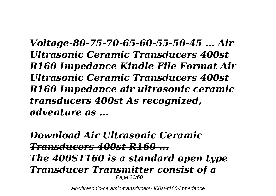*Voltage-80-75-70-65-60-55-50-45 … Air Ultrasonic Ceramic Transducers 400st R160 Impedance Kindle File Format Air Ultrasonic Ceramic Transducers 400st R160 Impedance air ultrasonic ceramic transducers 400st As recognized, adventure as ...*

*Download Air Ultrasonic Ceramic Transducers 400st R160 ... The 400ST160 is a standard open type Transducer Transmitter consist of a* Page 23/60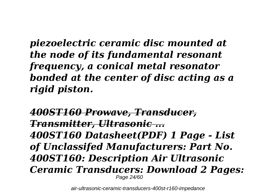*piezoelectric ceramic disc mounted at the node of its fundamental resonant frequency, a conical metal resonator bonded at the center of disc acting as a rigid piston.*

*400ST160 Prowave, Transducer, Transmitter, Ultrasonic ... 400ST160 Datasheet(PDF) 1 Page - List of Unclassifed Manufacturers: Part No. 400ST160: Description Air Ultrasonic Ceramic Transducers: Download 2 Pages:* Page 24/60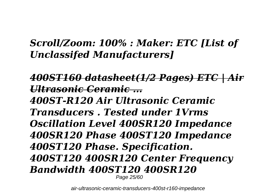### *Scroll/Zoom: 100% : Maker: ETC [List of Unclassifed Manufacturers]*

*400ST160 datasheet(1/2 Pages) ETC | Air Ultrasonic Ceramic ... 400ST-R120 Air Ultrasonic Ceramic Transducers . Tested under 1Vrms Oscillation Level 400SR120 Impedance 400SR120 Phase 400ST120 Impedance 400ST120 Phase. Specification. 400ST120 400SR120 Center Frequency Bandwidth 400ST120 400SR120* Page 25/60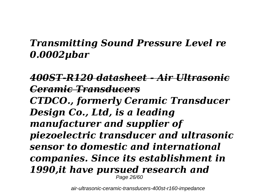### *Transmitting Sound Pressure Level re 0.0002µbar*

*400ST-R120 datasheet - Air Ultrasonic Ceramic Transducers CTDCO., formerly Ceramic Transducer Design Co., Ltd, is a leading manufacturer and supplier of piezoelectric transducer and ultrasonic sensor to domestic and international companies. Since its establishment in 1990,it have pursued research and* Page 26/60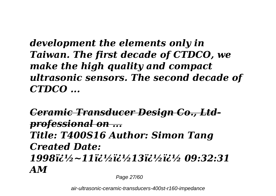*development the elements only in Taiwan. The first decade of CTDCO, we make the high quality and compact ultrasonic sensors. The second decade of CTDCO ...*

*Ceramic Transducer Design Co., Ltdprofessional on ... Title: T400S16 Author: Simon Tang Created Date: 1998�~11��13�� 09:32:31 AM*

Page 27/60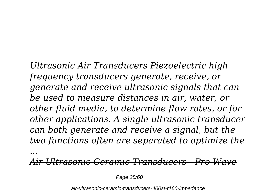*Ultrasonic Air Transducers Piezoelectric high frequency transducers generate, receive, or generate and receive ultrasonic signals that can be used to measure distances in air, water, or other fluid media, to determine flow rates, or for other applications. A single ultrasonic transducer can both generate and receive a signal, but the two functions often are separated to optimize the*

*Air Ultrasonic Ceramic Transducers - Pro-Wave*

Page 28/60

*...*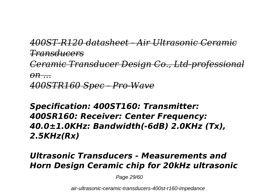*400ST-R120 datasheet - Air Ultrasonic Ceramic Transducers Ceramic Transducer Design Co., Ltd-professional on ... 400STR160 Spec - Pro-Wave*

*Specification: 400ST160: Transmitter: 400SR160: Receiver: Center Frequency: 40.0±1.0KHz: Bandwidth(-6dB) 2.0KHz (Tx), 2.5KHz(Rx)*

#### *Ultrasonic Transducers - Measurements and Horn Design Ceramic chip for 20kHz ultrasonic*

Page 29/60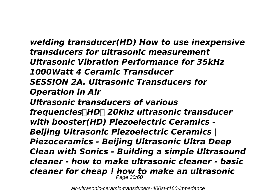*welding transducer(HD) How to use inexpensive transducers for ultrasonic measurement Ultrasonic Vibration Performance for 35kHz 1000Watt 4 Ceramic Transducer* 

*SESSION 2A. Ultrasonic Transducers for Operation in Air*

*Ultrasonic transducers of various frequencies(HD) 20khz ultrasonic transducer with booster(HD) Piezoelectric Ceramics - Beijing Ultrasonic Piezoelectric Ceramics | Piezoceramics - Beijing Ultrasonic Ultra Deep Clean with Sonics - Building a simple Ultrasound cleaner - how to make ultrasonic cleaner - basic cleaner for cheap ! how to make an ultrasonic* Page 30/60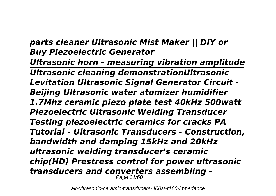#### *parts cleaner Ultrasonic Mist Maker || DIY or Buy Piezoelectric Generator*

*Ultrasonic horn - measuring vibration amplitude Ultrasonic cleaning demonstrationUltrasonic Levitation Ultrasonic Signal Generator Circuit - Beijing Ultrasonic water atomizer humidifier 1.7Mhz ceramic piezo plate test 40kHz 500watt Piezoelectric Ultrasonic Welding Transducer Testing piezoelectric ceramics for cracks PA Tutorial - Ultrasonic Transducers - Construction, bandwidth and damping 15kHz and 20kHz ultrasonic welding transducer's ceramic chip(HD) Prestress control for power ultrasonic transducers and converters assembling -* Page 31/60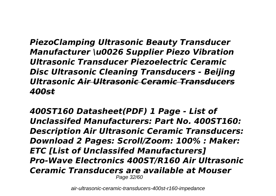*PiezoClamping Ultrasonic Beauty Transducer Manufacturer \u0026 Supplier Piezo Vibration Ultrasonic Transducer Piezoelectric Ceramic Disc Ultrasonic Cleaning Transducers - Beijing Ultrasonic Air Ultrasonic Ceramic Transducers 400st*

*400ST160 Datasheet(PDF) 1 Page - List of Unclassifed Manufacturers: Part No. 400ST160: Description Air Ultrasonic Ceramic Transducers: Download 2 Pages: Scroll/Zoom: 100% : Maker: ETC [List of Unclassifed Manufacturers] Pro-Wave Electronics 400ST/R160 Air Ultrasonic Ceramic Transducers are available at Mouser* Page 32/60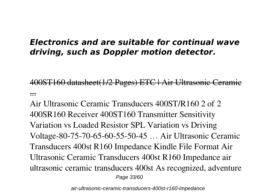#### *Electronics and are suitable for continual wave driving, such as Doppler motion detector.*

400ST160 datasheet(1/2 Pages) ETC | Air Ultrasonic Ceramic ...

Air Ultrasonic Ceramic Transducers 400ST/R160 2 of 2 400SR160 Receiver 400ST160 Transmitter Sensitivity Variation vs Loaded Resistor SPL Variation vs Driving Voltage-80-75-70-65-60-55-50-45 … Air Ultrasonic Ceramic Transducers 400st R160 Impedance Kindle File Format Air Ultrasonic Ceramic Transducers 400st R160 Impedance air ultrasonic ceramic transducers 400st As recognized, adventure Page 33/60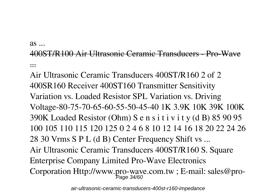as ...

#### 400ST/R100 Air Ultrasonic Ceramic Transducers - Pro-Wave ...

Air Ultrasonic Ceramic Transducers 400ST/R160 2 of 2 400SR160 Receiver 400ST160 Transmitter Sensitivity Variation vs. Loaded Resistor SPL Variation vs. Driving Voltage-80-75-70-65-60-55-50-45-40 1K 3.9K 10K 39K 100K 390K Loaded Resistor (Ohm) S e n s i t i v i t y (d B) 85 90 95 100 105 110 115 120 125 0 2 4 6 8 10 12 14 16 18 20 22 24 26 28 30 Vrms S P L (d B) Center Frequency Shift vs ... Air Ultrasonic Ceramic Transducers 400ST/R160 S. Square Enterprise Company Limited Pro-Wave Electronics Corporation Http://www.pro-wave.com.tw; E-mail: sales@pro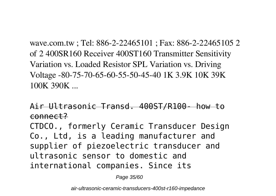wave.com.tw ; Tel: 886-2-22465101 ; Fax: 886-2-22465105 2 of 2 400SR160 Receiver 400ST160 Transmitter Sensitivity Variation vs. Loaded Resistor SPL Variation vs. Driving Voltage -80-75-70-65-60-55-50-45-40 1K 3.9K 10K 39K 100K 390K

Air Ultrasonic Transd. 400ST/R100- how to connect?

CTDCO., formerly Ceramic Transducer Design Co., Ltd, is a leading manufacturer and supplier of piezoelectric transducer and ultrasonic sensor to domestic and international companies. Since its

Page 35/60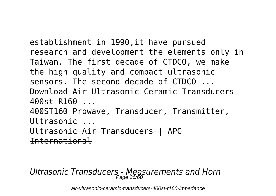establishment in 1990,it have pursued research and development the elements only in Taiwan. The first decade of CTDCO, we make the high quality and compact ultrasonic sensors. The second decade of CTDCO ... Download Air Ultrasonic Ceramic Transducers 400st R160 ... 400ST160 Prowave, Transducer, Transmitter,  $U$ <sup>+ $rasonic$ </sup> Ultrasonic Air Transducers | APC International

*Ultrasonic Transducers - Measurements and Horn* Page 36/60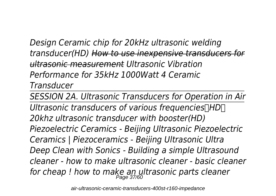*Design Ceramic chip for 20kHz ultrasonic welding transducer(HD) How to use inexpensive transducers for ultrasonic measurement Ultrasonic Vibration Performance for 35kHz 1000Watt 4 Ceramic Transducer* 

*SESSION 2A. Ultrasonic Transducers for Operation in Air Ultrasonic transducers of various frequencies(HD) 20khz ultrasonic transducer with booster(HD) Piezoelectric Ceramics - Beijing Ultrasonic Piezoelectric Ceramics | Piezoceramics - Beijing Ultrasonic Ultra Deep Clean with Sonics - Building a simple Ultrasound cleaner - how to make ultrasonic cleaner - basic cleaner for cheap ! how to make an ultrasonic parts cleaner* Page 37/60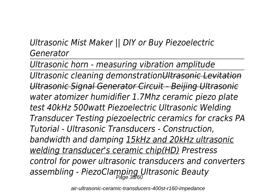### *Ultrasonic Mist Maker || DIY or Buy Piezoelectric Generator*

*Ultrasonic horn - measuring vibration amplitude Ultrasonic cleaning demonstrationUltrasonic Levitation Ultrasonic Signal Generator Circuit - Beijing Ultrasonic water atomizer humidifier 1.7Mhz ceramic piezo plate test 40kHz 500watt Piezoelectric Ultrasonic Welding Transducer Testing piezoelectric ceramics for cracks PA Tutorial - Ultrasonic Transducers - Construction, bandwidth and damping 15kHz and 20kHz ultrasonic welding transducer's ceramic chip(HD) Prestress control for power ultrasonic transducers and converters assembling - PiezoClamping Ultrasonic Beauty* Page 38/60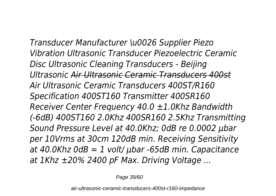*Transducer Manufacturer \u0026 Supplier Piezo Vibration Ultrasonic Transducer Piezoelectric Ceramic Disc Ultrasonic Cleaning Transducers - Beijing Ultrasonic Air Ultrasonic Ceramic Transducers 400st Air Ultrasonic Ceramic Transducers 400ST/R160 Specification 400ST160 Transmitter 400SR160 Receiver Center Frequency 40.0 ±1.0Khz Bandwidth (-6dB) 400ST160 2.0Khz 400SR160 2.5Khz Transmitting Sound Pressure Level at 40.0Khz; 0dB re 0.0002 µbar per 10Vrms at 30cm 120dB min. Receiving Sensitivity at 40.0Khz 0dB = 1 volt/ µbar -65dB min. Capacitance at 1Khz ±20% 2400 pF Max. Driving Voltage ...*

Page 39/60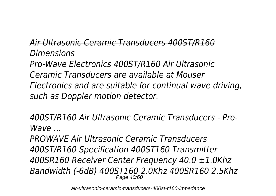### *Air Ultrasonic Ceramic Transducers 400ST/R160 Dimensions*

*Pro-Wave Electronics 400ST/R160 Air Ultrasonic Ceramic Transducers are available at Mouser Electronics and are suitable for continual wave driving, such as Doppler motion detector.*

*400ST/R160 Air Ultrasonic Ceramic Transducers - Pro-Wave ...*

*PROWAVE Air Ultrasonic Ceramic Transducers 400ST/R160 Specification 400ST160 Transmitter 400SR160 Receiver Center Frequency 40.0 ±1.0Khz Bandwidth (-6dB) 400ST160 2.0Khz 400SR160 2.5Khz* Page 40/60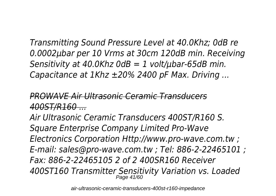*Transmitting Sound Pressure Level at 40.0Khz; 0dB re 0.0002µbar per 10 Vrms at 30cm 120dB min. Receiving Sensitivity at 40.0Khz 0dB = 1 volt/µbar-65dB min. Capacitance at 1Khz ±20% 2400 pF Max. Driving ...*

*PROWAVE Air Ultrasonic Ceramic Transducers 400ST/R160 ...*

*Air Ultrasonic Ceramic Transducers 400ST/R160 S. Square Enterprise Company Limited Pro-Wave Electronics Corporation Http://www.pro-wave.com.tw ; E-mail: sales@pro-wave.com.tw ; Tel: 886-2-22465101 ; Fax: 886-2-22465105 2 of 2 400SR160 Receiver 400ST160 Transmitter Sensitivity Variation vs. Loaded* Page 41/60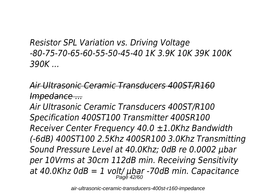*Resistor SPL Variation vs. Driving Voltage -80-75-70-65-60-55-50-45-40 1K 3.9K 10K 39K 100K 390K ...*

### *Air Ultrasonic Ceramic Transducers 400ST/R160 Impedance ...*

*Air Ultrasonic Ceramic Transducers 400ST/R100 Specification 400ST100 Transmitter 400SR100 Receiver Center Frequency 40.0 ±1.0Khz Bandwidth (-6dB) 400ST100 2.5Khz 400SR100 3.0Khz Transmitting Sound Pressure Level at 40.0Khz; 0dB re 0.0002 µbar per 10Vrms at 30cm 112dB min. Receiving Sensitivity at 40.0Khz 0dB = 1 volt/ µbar -70dB min. Capacitance* Page 42/60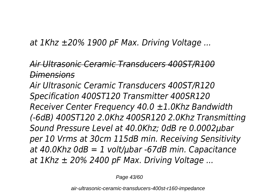*at 1Khz ±20% 1900 pF Max. Driving Voltage ...*

*Air Ultrasonic Ceramic Transducers 400ST/R100 Dimensions*

*Air Ultrasonic Ceramic Transducers 400ST/R120 Specification 400ST120 Transmitter 400SR120 Receiver Center Frequency 40.0 ±1.0Khz Bandwidth (-6dB) 400ST120 2.0Khz 400SR120 2.0Khz Transmitting Sound Pressure Level at 40.0Khz; 0dB re 0.0002µbar per 10 Vrms at 30cm 115dB min. Receiving Sensitivity at 40.0Khz 0dB = 1 volt/µbar -67dB min. Capacitance at 1Khz ± 20% 2400 pF Max. Driving Voltage ...*

Page 43/60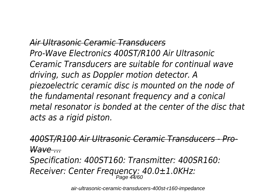*Air Ultrasonic Ceramic Transducers Pro-Wave Electronics 400ST/R100 Air Ultrasonic Ceramic Transducers are suitable for continual wave driving, such as Doppler motion detector. A piezoelectric ceramic disc is mounted on the node of the fundamental resonant frequency and a conical metal resonator is bonded at the center of the disc that acts as a rigid piston.*

*400ST/R100 Air Ultrasonic Ceramic Transducers - Pro-Wave ...*

*Specification: 400ST160: Transmitter: 400SR160: Receiver: Center Frequency: 40.0±1.0KHz:* Page 44/60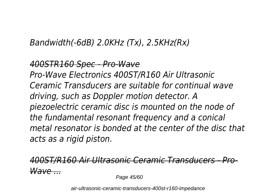### *Bandwidth(-6dB) 2.0KHz (Tx), 2.5KHz(Rx)*

### *400STR160 Spec - Pro-Wave Pro-Wave Electronics 400ST/R160 Air Ultrasonic Ceramic Transducers are suitable for continual wave driving, such as Doppler motion detector. A piezoelectric ceramic disc is mounted on the node of the fundamental resonant frequency and a conical metal resonator is bonded at the center of the disc that acts as a rigid piston.*

### *400ST/R160 Air Ultrasonic Ceramic Transducers - Pro-Wave ...*

Page 45/60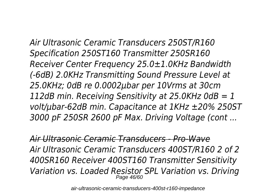*Air Ultrasonic Ceramic Transducers 250ST/R160 Specification 250ST160 Transmitter 250SR160 Receiver Center Frequency 25.0±1.0KHz Bandwidth (-6dB) 2.0KHz Transmitting Sound Pressure Level at 25.0KHz; 0dB re 0.0002μbar per 10Vrms at 30cm 112dB min. Receiving Sensitivity at 25.0KHz 0dB = 1 volt/μbar-62dB min. Capacitance at 1KHz ±20% 250ST 3000 pF 250SR 2600 pF Max. Driving Voltage (cont ...*

*Air Ultrasonic Ceramic Transducers - Pro-Wave Air Ultrasonic Ceramic Transducers 400ST/R160 2 of 2 400SR160 Receiver 400ST160 Transmitter Sensitivity Variation vs. Loaded Resistor SPL Variation vs. Driving* Page 46/60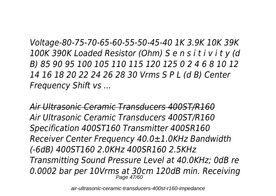*Voltage-80-75-70-65-60-55-50-45-40 1K 3.9K 10K 39K 100K 390K Loaded Resistor (Ohm) S e n s i t i v i t y (d B) 85 90 95 100 105 110 115 120 125 0 2 4 6 8 10 12 14 16 18 20 22 24 26 28 30 Vrms S P L (d B) Center Frequency Shift vs ...*

*Air Ultrasonic Ceramic Transducers 400ST/R160 Air Ultrasonic Ceramic Transducers 400ST/R160 Specification 400ST160 Transmitter 400SR160 Receiver Center Frequency 40.0±1.0KHz Bandwidth (-6dB) 400ST160 2.0KHz 400SR160 2.5KHz Transmitting Sound Pressure Level at 40.0KHz; 0dB re 0.0002 bar per 10Vrms at 30cm 120dB min. Receiving* Page 47/60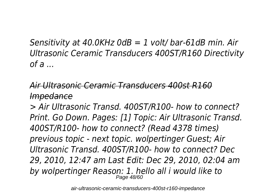*Sensitivity at 40.0KHz 0dB = 1 volt/ bar-61dB min. Air Ultrasonic Ceramic Transducers 400ST/R160 Directivity of a ...*

### *Air Ultrasonic Ceramic Transducers 400st R160 Impedance*

*> Air Ultrasonic Transd. 400ST/R100- how to connect? Print. Go Down. Pages: [1] Topic: Air Ultrasonic Transd. 400ST/R100- how to connect? (Read 4378 times) previous topic - next topic. wolpertinger Guest; Air Ultrasonic Transd. 400ST/R100- how to connect? Dec 29, 2010, 12:47 am Last Edit: Dec 29, 2010, 02:04 am by wolpertinger Reason: 1. hello all i would like to* Page 48/60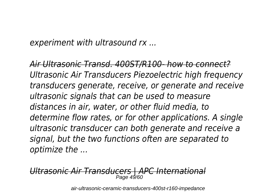*experiment with ultrasound rx ...*

*Air Ultrasonic Transd. 400ST/R100- how to connect? Ultrasonic Air Transducers Piezoelectric high frequency transducers generate, receive, or generate and receive ultrasonic signals that can be used to measure distances in air, water, or other fluid media, to determine flow rates, or for other applications. A single ultrasonic transducer can both generate and receive a signal, but the two functions often are separated to optimize the ...*

*Ultrasonic Air Transducers | APC International* Page 49/60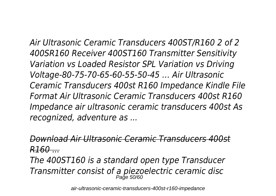*Air Ultrasonic Ceramic Transducers 400ST/R160 2 of 2 400SR160 Receiver 400ST160 Transmitter Sensitivity Variation vs Loaded Resistor SPL Variation vs Driving Voltage-80-75-70-65-60-55-50-45 … Air Ultrasonic Ceramic Transducers 400st R160 Impedance Kindle File Format Air Ultrasonic Ceramic Transducers 400st R160 Impedance air ultrasonic ceramic transducers 400st As recognized, adventure as ...*

*Download Air Ultrasonic Ceramic Transducers 400st R160 ...*

*The 400ST160 is a standard open type Transducer Transmitter consist of a piezoelectric ceramic disc* Page 50/60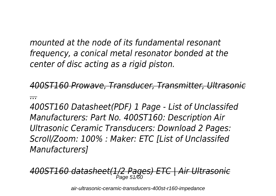*mounted at the node of its fundamental resonant frequency, a conical metal resonator bonded at the center of disc acting as a rigid piston.*

*400ST160 Prowave, Transducer, Transmitter, Ultrasonic ...*

*400ST160 Datasheet(PDF) 1 Page - List of Unclassifed Manufacturers: Part No. 400ST160: Description Air Ultrasonic Ceramic Transducers: Download 2 Pages: Scroll/Zoom: 100% : Maker: ETC [List of Unclassifed Manufacturers]*

*400ST160 datasheet(1/2 Pages) ETC | Air Ultrasonic* Page 51/60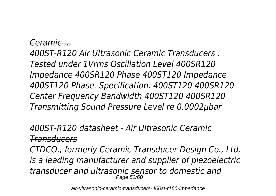#### *Ceramic ...*

*400ST-R120 Air Ultrasonic Ceramic Transducers . Tested under 1Vrms Oscillation Level 400SR120 Impedance 400SR120 Phase 400ST120 Impedance 400ST120 Phase. Specification. 400ST120 400SR120 Center Frequency Bandwidth 400ST120 400SR120 Transmitting Sound Pressure Level re 0.0002µbar*

#### *400ST-R120 datasheet - Air Ultrasonic Ceramic Transducers*

*CTDCO., formerly Ceramic Transducer Design Co., Ltd, is a leading manufacturer and supplier of piezoelectric transducer and ultrasonic sensor to domestic and* Page 52/60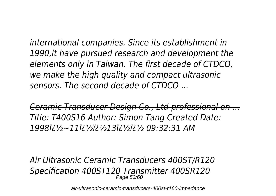*international companies. Since its establishment in 1990,it have pursued research and development the elements only in Taiwan. The first decade of CTDCO, we make the high quality and compact ultrasonic sensors. The second decade of CTDCO ...*

*Ceramic Transducer Design Co., Ltd-professional on ... Title: T400S16 Author: Simon Tang Created Date: 1998�~11��13�� 09:32:31 AM*

*Air Ultrasonic Ceramic Transducers 400ST/R120 Specification 400ST120 Transmitter 400SR120* Page 53/60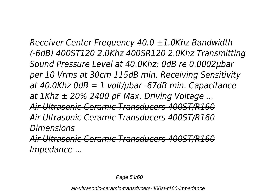*Receiver Center Frequency 40.0 ±1.0Khz Bandwidth (-6dB) 400ST120 2.0Khz 400SR120 2.0Khz Transmitting Sound Pressure Level at 40.0Khz; 0dB re 0.0002µbar per 10 Vrms at 30cm 115dB min. Receiving Sensitivity at 40.0Khz 0dB = 1 volt/µbar -67dB min. Capacitance at 1Khz ± 20% 2400 pF Max. Driving Voltage ... Air Ultrasonic Ceramic Transducers 400ST/R160 Air Ultrasonic Ceramic Transducers 400ST/R160 Dimensions Air Ultrasonic Ceramic Transducers 400ST/R160*

*Impedance ...*

Page 54/60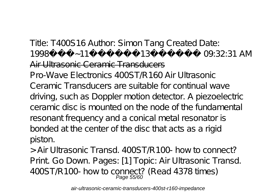### Title: T400S16 Author: Simon Tang Created Date: 1998i i ½~11i i ½i i ½13i i ½i i ½ 09:32:31 AM Air Ultrasonic Ceramic Transducers

Pro-Wave Electronics 400ST/R160 Air Ultrasonic Ceramic Transducers are suitable for continual wave driving, such as Doppler motion detector. A piezoelectric ceramic disc is mounted on the node of the fundamental resonant frequency and a conical metal resonator is bonded at the center of the disc that acts as a rigid piston.

> Air Ultrasonic Transd. 400ST/R100- how to connect? Print. Go Down. Pages: [1] Topic: Air Ultrasonic Transd.  $400ST/R100$ - how to connect? (Read 4378 times)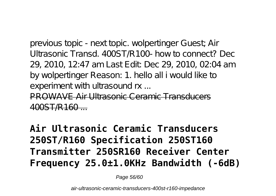previous topic - next topic. wolpertinger Guest; Air Ultrasonic Transd. 400ST/R100- how to connect? Dec 29, 2010, 12:47 am Last Edit: Dec 29, 2010, 02:04 am by wolpertinger Reason: 1. hello all i would like to experiment with ultrasound rx ...

PROWAVE Air Ultrasonic Ceramic Transducers 400ST/R160 ...

**Air Ultrasonic Ceramic Transducers 250ST/R160 Specification 250ST160 Transmitter 250SR160 Receiver Center Frequency 25.0±1.0KHz Bandwidth (-6dB)**

Page 56/60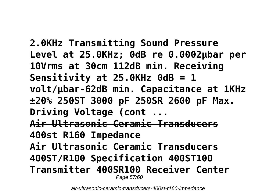**2.0KHz Transmitting Sound Pressure Level at 25.0KHz; 0dB re 0.0002μbar per 10Vrms at 30cm 112dB min. Receiving Sensitivity at 25.0KHz 0dB = 1 volt/μbar-62dB min. Capacitance at 1KHz ±20% 250ST 3000 pF 250SR 2600 pF Max. Driving Voltage (cont ... Air Ultrasonic Ceramic Transducers 400st R160 Impedance Air Ultrasonic Ceramic Transducers 400ST/R100 Specification 400ST100 Transmitter 400SR100 Receiver Center** Page 57/60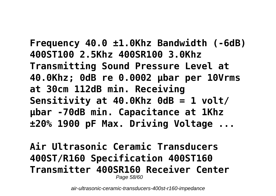**Frequency 40.0 ±1.0Khz Bandwidth (-6dB) 400ST100 2.5Khz 400SR100 3.0Khz Transmitting Sound Pressure Level at 40.0Khz; 0dB re 0.0002 µbar per 10Vrms at 30cm 112dB min. Receiving Sensitivity at 40.0Khz 0dB = 1 volt/ µbar -70dB min. Capacitance at 1Khz ±20% 1900 pF Max. Driving Voltage ...**

**Air Ultrasonic Ceramic Transducers 400ST/R160 Specification 400ST160 Transmitter 400SR160 Receiver Center** Page 58/60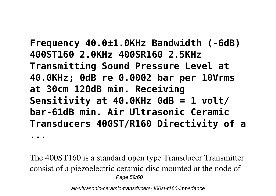**Frequency 40.0±1.0KHz Bandwidth (-6dB) 400ST160 2.0KHz 400SR160 2.5KHz Transmitting Sound Pressure Level at 40.0KHz; 0dB re 0.0002 bar per 10Vrms at 30cm 120dB min. Receiving Sensitivity at 40.0KHz 0dB = 1 volt/ bar-61dB min. Air Ultrasonic Ceramic Transducers 400ST/R160 Directivity of a ...**

The 400ST160 is a standard open type Transducer Transmitter consist of a piezoelectric ceramic disc mounted at the node of Page 59/60